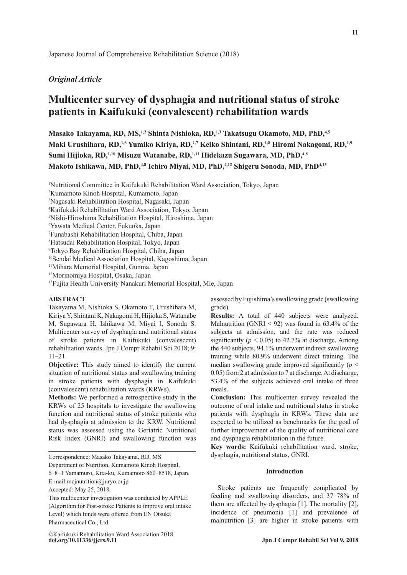## *Original Article*

# **Multicenter survey of dysphagia and nutritional status of stroke patients in Kaifukuki (convalescent) rehabilitation wards**

Masako Takayama, RD, MS,<sup>1,2</sup> Shinta Nishioka, RD,<sup>1,3</sup> Takatsugu Okamoto, MD, PhD,<sup>4,5</sup> Maki Urushihara, RD,<sup>1,6</sup> Yumiko Kiriya, RD,<sup>1,7</sup> Keiko Shintani, RD,<sup>1,8</sup> Hiromi Nakagomi, RD,<sup>1,9</sup> Sumi Hijioka, RD,<sup>1,10</sup> Misuzu Watanabe, RD,<sup>1,11</sup> Hidekazu Sugawara, MD, PhD,<sup>4,8</sup> Makoto Ishikawa, MD, PhD,<sup>4,8</sup> Ichiro Miyai, MD, PhD,<sup>4,12</sup> Shigeru Sonoda, MD, PhD<sup>4,13</sup>

1 Nutritional Committee in Kaifukuki Rehabilitation Ward Association, Tokyo, Japan

2 Kumamoto Kinoh Hospital, Kumamoto, Japan

3 Nagasaki Rehabilitation Hospital, Nagasaki, Japan

4 Kaifukuki Rehabilitation Ward Association, Tokyo, Japan

5 Nishi-Hiroshima Rehabilitation Hospital, Hiroshima, Japan

6 Yawata Medical Center, Fukuoka, Japan

7 Funabashi Rehabilitation Hospital, Chiba, Japan

8 Hatsudai Rehabilitation Hospital, Tokyo, Japan

9 Tokyo Bay Rehabilitation Hospital, Chiba, Japan

10Sendai Medical Association Hospital, Kagoshima, Japan

11Mihara Memorial Hospital, Gunma, Japan

12Morinomiya Hospital, Osaka, Japan

13Fujita Health University Nanakuri Memorial Hospital, Mie, Japan

## **ABSTRACT**

Takayama M, Nishioka S, Okamoto T, Urushihara M, Kiriya Y, Shintani K, Nakagomi H, Hijioka S, Watanabe M, Sugawara H, Ishikawa M, Miyai I, Sonoda S. Multicenter survey of dysphagia and nutritional status of stroke patients in Kaifukuki (convalescent) rehabilitation wards. Jpn J Compr Rehabil Sci 2018; 9: 11-21.

**Objective:** This study aimed to identify the current situation of nutritional status and swallowing training in stroke patients with dysphagia in Kaifukuki (convalescent) rehabilitation wards (KRWs).

**Methods:** We performed a retrospective study in the KRWs of 25 hospitals to investigate the swallowing function and nutritional status of stroke patients who had dysphagia at admission to the KRW. Nutritional status was assessed using the Geriatric Nutritional Risk Index (GNRI) and swallowing function was

Correspondence: Masako Takayama, RD, MS

Department of Nutrition, Kumamoto Kinoh Hospital,

6-8-1 Yamamuro, Kita-ku, Kumamoto 860-8518, Japan. E-mail:mcjnutrition@juryo.or.jp

Accepted: May 25, 2018.

This multicenter investigation was conducted by APPLE (Algorithm for Post-stroke Patients to improve oral intake Level) which funds were offered from EN Otsuka Pharmaceutical Co., Ltd.

**doi.org/10.11336/jjcrs.9.11 Jpn J Compr Rehabil Sci Vol 9, 2018** ©Kaifukuki Rehabilitation Ward Association 2018

assessed by Fujishima's swallowing grade (swallowing grade).

**Results:** A total of 440 subjects were analyzed. Malnutrition (GNRI  $<$  92) was found in 63.4% of the subjects at admission, and the rate was reduced significantly ( $p < 0.05$ ) to 42.7% at discharge. Among the 440 subjects, 94.1% underwent indirect swallowing training while 80.9% underwent direct training. The median swallowing grade improved significantly  $(p <$ 0.05) from 2 at admission to 7 at discharge. At discharge, 53.4% of the subjects achieved oral intake of three meals.

**Conclusion:** This multicenter survey revealed the outcome of oral intake and nutritional status in stroke patients with dysphagia in KRWs. These data are expected to be utilized as benchmarks for the goal of further improvement of the quality of nutritional care and dysphagia rehabilitation in the future.

**Key words:** Kaifukuki rehabilitation ward, stroke, dysphagia, nutritional status, GNRI.

## **Introduction**

Stroke patients are frequently complicated by feeding and swallowing disorders, and 37-78% of them are affected by dysphagia [1]. The mortality [2], incidence of pneumonia [1] and prevalence of malnutrition [3] are higher in stroke patients with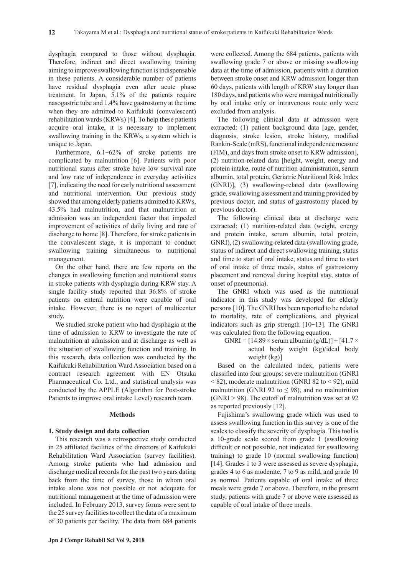dysphagia compared to those without dysphagia. Therefore, indirect and direct swallowing training aiming to improve swallowing function is indispensable in these patients. A considerable number of patients have residual dysphagia even after acute phase treatment. In Japan, 5.1% of the patients require nasogastric tube and 1.4% have gastrostomy at the time when they are admitted to Kaifukuki (convalescent) rehabilitation wards (KRWs) [4]. To help these patients acquire oral intake, it is necessary to implement swallowing training in the KRWs, a system which is unique to Japan.

Furthermore, 6.1-62% of stroke patients are complicated by malnutrition [6]. Patients with poor nutritional status after stroke have low survival rate and low rate of independence in everyday activities [7], indicating the need for early nutritional assessment and nutritional intervention. Our previous study showed that among elderly patients admitted to KRWs, 43.5% had malnutrition, and that malnutrition at admission was an independent factor that impeded improvement of activities of daily living and rate of discharge to home [8]. Therefore, for stroke patients in the convalescent stage, it is important to conduct swallowing training simultaneous to nutritional management.

On the other hand, there are few reports on the changes in swallowing function and nutritional status in stroke patients with dysphagia during KRW stay. A single facility study reported that 36.8% of stroke patients on enteral nutrition were capable of oral intake. However, there is no report of multicenter study.

We studied stroke patient who had dysphagia at the time of admission to KRW to investigate the rate of malnutrition at admission and at discharge as well as the situation of swallowing function and training. In this research, data collection was conducted by the Kaifukuki Rehabilitation Ward Association based on a contract research agreement with EN Otsuka Pharmaceutical Co. Ltd., and statistical analysis was conducted by the APPLE (Algorithm for Post-stroke Patients to improve oral intake Level) research team.

## **Methods**

## **1. Study design and data collection**

This research was a retrospective study conducted in 25 affiliated facilities of the directors of Kaifukuki Rehabilitation Ward Association (survey facilities). Among stroke patients who had admission and discharge medical records for the past two years dating back from the time of survey, those in whom oral intake alone was not possible or not adequate for nutritional management at the time of admission were included. In February 2013, survey forms were sent to the 25 survey facilities to collect the data of a maximum of 30 patients per facility. The data from 684 patients

were collected. Among the 684 patients, patients with swallowing grade 7 or above or missing swallowing data at the time of admission, patients with a duration between stroke onset and KRW admission longer than 60 days, patients with length of KRW stay longer than 180 days, and patients who were managed nutritionally by oral intake only or intravenous route only were excluded from analysis.

The following clinical data at admission were extracted: (1) patient background data [age, gender, diagnosis, stroke lesion, stroke history, modified Rankin-Scale (mRS), functional independence measure (FIM), and days from stroke onset to KRW admission], (2) nutrition-related data [height, weight, energy and protein intake, route of nutrition administration, serum albumin, total protein, Geriatric Nutritional Risk Index (GNRI)], (3) swallowing-related data (swallowing grade, swallowing assessment and training provided by previous doctor, and status of gastrostomy placed by previous doctor).

The following clinical data at discharge were extracted: (1) nutrition-related data (weight, energy and protein intake, serum albumin, total protein, GNRI), (2) swallowing-related data (swallowing grade, status of indirect and direct swallowing training, status and time to start of oral intake, status and time to start of oral intake of three meals, status of gastrostomy placement and removal during hospital stay, status of onset of pneumonia).

The GNRI which was used as the nutritional indicator in this study was developed for elderly persons [10]. The GNRI has been reported to be related to mortality, rate of complications, and physical indicators such as grip strength [10-13]. The GNRI was calculated from the following equation.

GNRI =  $[14.89 \times \text{serum albumin (g/dL)]} + [41.7 \times$ actual body weight (kg)/ideal body weight (kg)]

Based on the calculated index, patients were classified into four groups: severe malnutrition (GNRI < 82), moderate malnutrition (GNRI 82 to < 92), mild malnutrition (GNRI 92 to  $\leq$  98), and no malnutrition  $(GNRI > 98)$ . The cutoff of malnutrition was set at 92 as reported previously [12].

Fujishima's swallowing grade which was used to assess swallowing function in this survey is one of the scales to classify the severity of dysphagia. This tool is a 10-grade scale scored from grade 1 (swallowing difficult or not possible, not indicated for swallowing training) to grade 10 (normal swallowing function) [14]. Grades 1 to 3 were assessed as severe dysphagia, grades 4 to 6 as moderate, 7 to 9 as mild, and grade 10 as normal. Patients capable of oral intake of three meals were grade 7 or above. Therefore, in the present study, patients with grade 7 or above were assessed as capable of oral intake of three meals.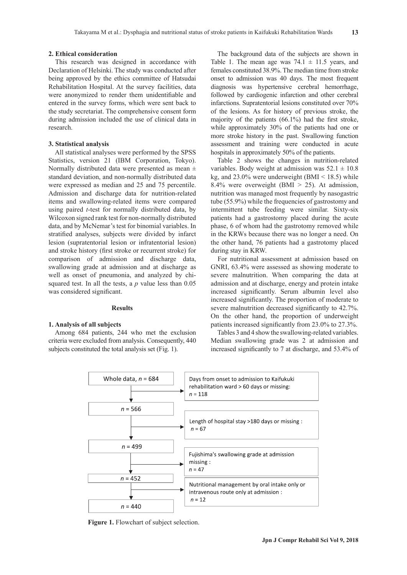## **2. Ethical consideration**

This research was designed in accordance with Declaration of Helsinki. The study was conducted after being approved by the ethics committee of Hatsudai Rehabilitation Hospital. At the survey facilities, data were anonymized to render them unidentifiable and entered in the survey forms, which were sent back to the study secretariat. The comprehensive consent form during admission included the use of clinical data in research.

## **3. Statistical analysis**

All statistical analyses were performed by the SPSS Statistics, version 21 (IBM Corporation, Tokyo). Normally distributed data were presented as mean  $\pm$ standard deviation, and non-normally distributed data were expressed as median and 25 and 75 percentile. Admission and discharge data for nutrition-related items and swallowing-related items were compared using paired *t*-test for normally distributed data, by Wilcoxon signed rank test for non-normally distributed data, and by McNemar's test for binomial variables. In stratified analyses, subjects were divided by infarct lesion (supratentorial lesion or infratentorial lesion) and stroke history (first stroke or recurrent stroke) for comparison of admission and discharge data, swallowing grade at admission and at discharge as well as onset of pneumonia, and analyzed by chisquared test. In all the tests, a *p* value less than 0.05 was considered significant.

#### **Results**

## **1. Analysis of all subjects**

Among 684 patients, 244 who met the exclusion criteria were excluded from analysis. Consequently, 440 subjects constituted the total analysis set (Fig. 1).

The background data of the subjects are shown in Table 1. The mean age was  $74.1 \pm 11.5$  years, and females constituted 38.9%. The median time from stroke onset to admission was 40 days. The most frequent diagnosis was hypertensive cerebral hemorrhage, followed by cardiogenic infarction and other cerebral infarctions. Supratentorial lesions constituted over 70% of the lesions. As for history of previous stroke, the majority of the patients (66.1%) had the first stroke, while approximately 30% of the patients had one or more stroke history in the past. Swallowing function assessment and training were conducted in acute hospitals in approximately 50% of the patients.

Table 2 shows the changes in nutrition-related variables. Body weight at admission was  $52.1 \pm 10.8$ kg, and  $23.0\%$  were underweight (BMI < 18.5) while 8.4% were overweight (BMI > 25). At admission, nutrition was managed most frequently by nasogastric tube (55.9%) while the frequencies of gastrostomy and intermittent tube feeding were similar. Sixty-six patients had a gastrostomy placed during the acute phase, 6 of whom had the gastrotomy removed while in the KRWs because there was no longer a need. On the other hand, 76 patients had a gastrotomy placed during stay in KRW.

For nutritional assessment at admission based on GNRI, 63.4% were assessed as showing moderate to severe malnutrition. When comparing the data at admission and at discharge, energy and protein intake increased significantly. Serum albumin level also increased significantly. The proportion of moderate to severe malnutrition decreased significantly to 42.7%. On the other hand, the proportion of underweight patients increased significantly from 23.0% to 27.3%.

Tables 3 and 4 show the swallowing-related variables. Median swallowing grade was 2 at admission and increased significantly to 7 at discharge, and 53.4% of



**Figure 1.** Flowchart of subject selection.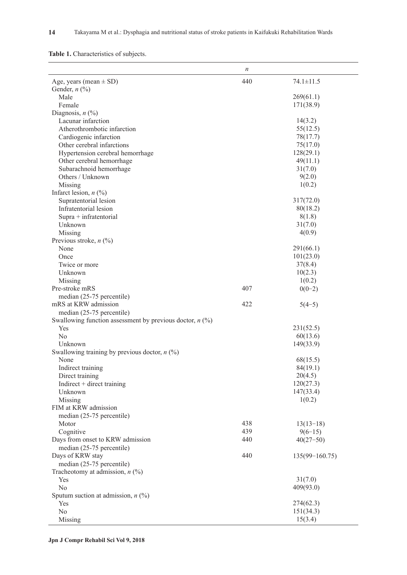| Table 1. Characteristics of subjects. |  |
|---------------------------------------|--|

|                                                            | $\boldsymbol{n}$ |                    |
|------------------------------------------------------------|------------------|--------------------|
| Age, years (mean $\pm$ SD)                                 | 440              | $74.1 \pm 11.5$    |
| Gender, $n$ (%)                                            |                  |                    |
| Male                                                       |                  | 269(61.1)          |
| Female                                                     |                  | 171(38.9)          |
| Diagnosis, $n$ (%)                                         |                  |                    |
| Lacunar infarction                                         |                  | 14(3.2)            |
| Atherothrombotic infarction                                |                  | 55(12.5)           |
| Cardiogenic infarction                                     |                  | 78(17.7)           |
| Other cerebral infarctions                                 |                  | 75(17.0)           |
| Hypertension cerebral hemorrhage                           |                  | 128(29.1)          |
| Other cerebral hemorrhage                                  |                  | 49(11.1)           |
| Subarachnoid hemorrhage                                    |                  | 31(7.0)            |
| Others / Unknown                                           |                  | 9(2.0)             |
| Missing                                                    |                  | 1(0.2)             |
| Infarct lesion, $n$ (%)                                    |                  |                    |
| Supratentorial lesion                                      |                  | 317(72.0)          |
| Infratentorial lesion                                      |                  | 80(18.2)           |
| $Supra + infratentorial$                                   |                  | 8(1.8)             |
| Unknown                                                    |                  | 31(7.0)            |
| Missing                                                    |                  | 4(0.9)             |
| Previous stroke, $n$ (%)                                   |                  |                    |
| None                                                       |                  | 291(66.1)          |
| Once                                                       |                  | 101(23.0)          |
| Twice or more                                              |                  | 37(8.4)            |
| Unknown                                                    |                  | 10(2.3)            |
| Missing                                                    |                  | 1(0.2)             |
| Pre-stroke mRS                                             | 407              | $0(0-2)$           |
| median (25-75 percentile)                                  |                  |                    |
| mRS at KRW admission                                       | 422              | $5(4-5)$           |
| median (25-75 percentile)                                  |                  |                    |
| Swallowing function assessment by previous doctor, $n$ (%) |                  |                    |
| Yes                                                        |                  | 231(52.5)          |
| No                                                         |                  | 60(13.6)           |
| Unknown                                                    |                  | 149(33.9)          |
| Swallowing training by previous doctor, $n$ (%)            |                  |                    |
| None                                                       |                  | 68(15.5)           |
| Indirect training                                          |                  | 84(19.1)           |
| Direct training                                            |                  | 20(4.5)            |
| Indirect $+$ direct training                               |                  | 120(27.3)          |
| Unknown                                                    |                  | 147(33.4)          |
| Missing                                                    |                  | 1(0.2)             |
| FIM at KRW admission                                       |                  |                    |
| median (25-75 percentile)                                  |                  |                    |
| Motor                                                      | 438              | $13(13-18)$        |
| Cognitive                                                  | 439              | $9(6-15)$          |
| Days from onset to KRW admission                           | 440              | $40(27-50)$        |
| median (25-75 percentile)                                  |                  |                    |
| Days of KRW stay                                           | 440              | $135(99 - 160.75)$ |
| median (25-75 percentile)                                  |                  |                    |
| Tracheotomy at admission, $n$ (%)                          |                  |                    |
| Yes                                                        |                  | 31(7.0)            |
| No                                                         |                  | 409(93.0)          |
| Sputum suction at admission, $n$ (%)                       |                  |                    |
| Yes                                                        |                  | 274(62.3)          |
| No                                                         |                  | 151(34.3)          |
| Missing                                                    |                  | 15(3.4)            |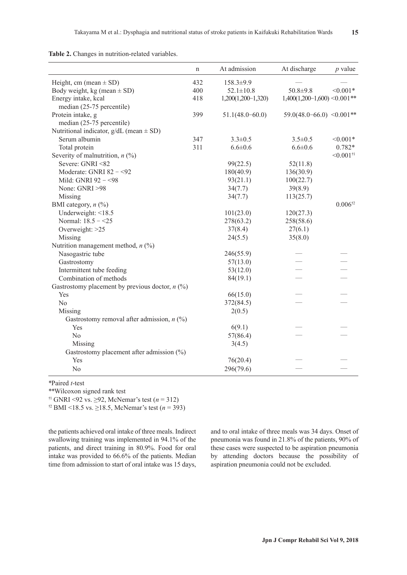|                                                   | $\mathbf n$ | At admission         | At discharge                      | $p$ value               |
|---------------------------------------------------|-------------|----------------------|-----------------------------------|-------------------------|
| Height, cm (mean $\pm$ SD)                        | 432         | 158.3±9.9            |                                   |                         |
| Body weight, kg (mean $\pm$ SD)                   | 400         | $52.1 \pm 10.8$      | $50.8 + 9.8$                      | $< 0.001*$              |
| Energy intake, kcal                               | 418         | $1,200(1,200-1,320)$ | $1,400(1,200-1,600) \le 0.001$ ** |                         |
| median (25-75 percentile)                         |             |                      |                                   |                         |
| Protein intake, g                                 | 399         | $51.1(48.0 - 60.0)$  | $59.0(48.0 - 66.0)$ < 0.001**     |                         |
| median (25-75 percentile)                         |             |                      |                                   |                         |
| Nutritional indicator, $g/dL$ (mean $\pm$ SD)     |             |                      |                                   |                         |
| Serum albumin                                     | 347         | $3.3 \pm 0.5$        | $3.5 \pm 0.5$                     | $< 0.001*$              |
| Total protein                                     | 311         | $6.6 \pm 0.6$        | $6.6 \pm 0.6$                     | $0.782*$                |
| Severity of malnutrition, $n$ (%)                 |             |                      |                                   | $< 0.001$ <sup>†1</sup> |
| Severe: GNRI <82                                  |             | 99(22.5)             | 52(11.8)                          |                         |
| Moderate: GNRI 82 - < 92                          |             | 180(40.9)            | 136(30.9)                         |                         |
| Mild: GNRI 92 - < 98                              |             | 93(21.1)             | 100(22.7)                         |                         |
| None: GNRI >98                                    |             | 34(7.7)              | 39(8.9)                           |                         |
| Missing                                           |             | 34(7.7)              | 113(25.7)                         |                         |
| BMI category, $n$ (%)                             |             |                      |                                   | $0.006^{*2}$            |
| Underweight: <18.5                                |             | 101(23.0)            | 120(27.3)                         |                         |
| Normal: 18.5 - < 25                               |             | 278(63.2)            | 258(58.6)                         |                         |
| Overweight: >25                                   |             | 37(8.4)              | 27(6.1)                           |                         |
| Missing                                           |             | 24(5.5)              | 35(8.0)                           |                         |
| Nutrition management method, $n$ (%)              |             |                      |                                   |                         |
| Nasogastric tube                                  |             | 246(55.9)            |                                   |                         |
| Gastrostomy                                       |             | 57(13.0)             |                                   |                         |
| Intermittent tube feeding                         |             | 53(12.0)             |                                   |                         |
| Combination of methods                            |             | 84(19.1)             |                                   |                         |
| Gastrostomy placement by previous doctor, $n$ (%) |             |                      |                                   |                         |
| Yes                                               |             | 66(15.0)             |                                   |                         |
| N <sub>o</sub>                                    |             | 372(84.5)            |                                   |                         |
| Missing                                           |             | 2(0.5)               |                                   |                         |
| Gastrostomy removal after admission, $n$ (%)      |             |                      |                                   |                         |
| Yes                                               |             | 6(9.1)               |                                   |                         |
| No                                                |             | 57(86.4)             |                                   |                         |
| Missing                                           |             | 3(4.5)               |                                   |                         |
| Gastrostomy placement after admission $(\%)$      |             |                      |                                   |                         |
| Yes                                               |             | 76(20.4)             |                                   |                         |
| No                                                |             | 296(79.6)            |                                   |                         |

\*Paired *t*-test

\*\*Wilcoxon signed rank test

†1 GNRI <92 vs. ≥92, McNemar's test (*n* = 312)

†2 BMI <18.5 vs. ≥18.5, McNemar's test (*n* = 393)

the patients achieved oral intake of three meals. Indirect swallowing training was implemented in 94.1% of the patients, and direct training in 80.9%. Food for oral intake was provided to 66.6% of the patients. Median time from admission to start of oral intake was 15 days, and to oral intake of three meals was 34 days. Onset of pneumonia was found in 21.8% of the patients, 90% of these cases were suspected to be aspiration pneumonia by attending doctors because the possibility of aspiration pneumonia could not be excluded.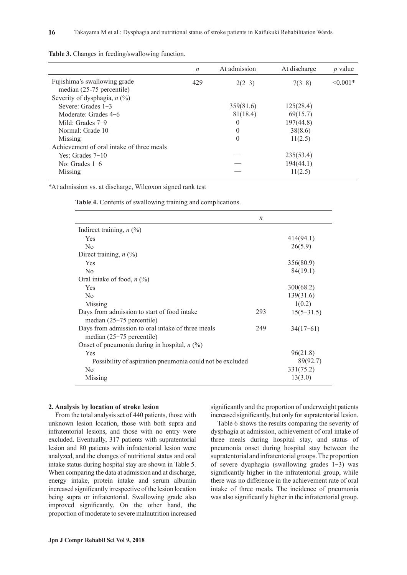|                                           | $\boldsymbol{n}$ | At admission | At discharge | $p$ value     |
|-------------------------------------------|------------------|--------------|--------------|---------------|
| Fujishima's swallowing grade              | 429              | $2(2-3)$     | $7(3-8)$     | $\leq 0.001*$ |
| median (25-75 percentile)                 |                  |              |              |               |
| Severity of dysphagia, $n$ (%)            |                  |              |              |               |
| Severe: Grades $1-3$                      |                  | 359(81.6)    | 125(28.4)    |               |
| Moderate: Grades 4–6                      |                  | 81(18.4)     | 69(15.7)     |               |
| Mild: Grades 7-9                          |                  | $\Omega$     | 197(44.8)    |               |
| Normal: Grade 10                          |                  | $\theta$     | 38(8.6)      |               |
| Missing                                   |                  | $\theta$     | 11(2.5)      |               |
| Achievement of oral intake of three meals |                  |              |              |               |
| Yes: Grades $7-10$                        |                  |              | 235(53.4)    |               |
| No: Grades $1-6$                          |                  |              | 194(44.1)    |               |
| Missing                                   |                  |              | 11(2.5)      |               |

**Table 3.** Changes in feeding/swallowing function.

\*At admission vs. at discharge, Wilcoxon signed rank test

**Table 4.** Contents of swallowing training and complications.

|                                                           | $\boldsymbol{n}$ |              |
|-----------------------------------------------------------|------------------|--------------|
| Indirect training, $n$ (%)                                |                  |              |
| <b>Yes</b>                                                |                  | 414(94.1)    |
| N <sub>0</sub>                                            |                  | 26(5.9)      |
| Direct training, $n$ (%)                                  |                  |              |
| Yes                                                       |                  | 356(80.9)    |
| N <sub>0</sub>                                            |                  | 84(19.1)     |
| Oral intake of food, $n$ (%)                              |                  |              |
| <b>Yes</b>                                                |                  | 300(68.2)    |
| N <sub>0</sub>                                            |                  | 139(31.6)    |
| Missing                                                   |                  | 1(0.2)       |
| Days from admission to start of food intake               | 293              | $15(5-31.5)$ |
| median $(25-75$ percentile)                               |                  |              |
| Days from admission to oral intake of three meals         | 249              | $34(17-61)$  |
| median $(25-75$ percentile)                               |                  |              |
| Onset of pneumonia during in hospital, $n$ (%)            |                  |              |
| Yes                                                       |                  | 96(21.8)     |
| Possibility of aspiration pneumonia could not be excluded |                  | 89(92.7)     |
| N <sub>0</sub>                                            |                  | 331(75.2)    |
| Missing                                                   |                  | 13(3.0)      |

## **2. Analysis by location of stroke lesion**

From the total analysis set of 440 patients, those with unknown lesion location, those with both supra and infratentorial lesions, and those with no entry were excluded. Eventually, 317 patients with supratentorial lesion and 80 patients with infratentorial lesion were analyzed, and the changes of nutritional status and oral intake status during hospital stay are shown in Table 5. When comparing the data at admission and at discharge, energy intake, protein intake and serum albumin increased significantly irrespective of the lesion location being supra or infratentorial. Swallowing grade also improved significantly. On the other hand, the proportion of moderate to severe malnutrition increased significantly and the proportion of underweight patients increased significantly, but only for supratentorial lesion.

Table 6 shows the results comparing the severity of dysphagia at admission, achievement of oral intake of three meals during hospital stay, and status of pneumonia onset during hospital stay between the supratentorial and infratentorial groups. The proportion of severe dyaphagia (swallowing grades 1-3) was significantly higher in the infratentorial group, while there was no difference in the achievement rate of oral intake of three meals. The incidence of pneumonia was also significantly higher in the infratentorial group.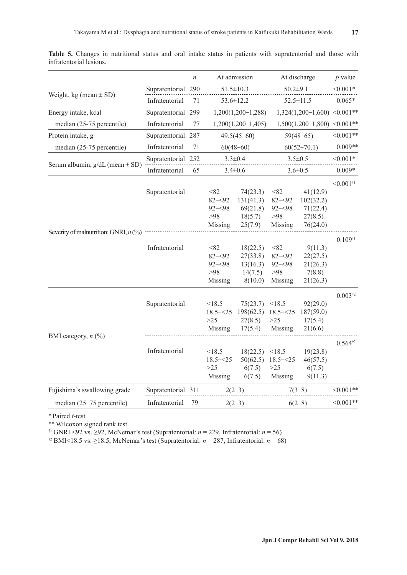|                                         |                    | $\boldsymbol{n}$ |                                                             | At admission                                                      |                                                               | At discharge                                                      | $p$ value               |
|-----------------------------------------|--------------------|------------------|-------------------------------------------------------------|-------------------------------------------------------------------|---------------------------------------------------------------|-------------------------------------------------------------------|-------------------------|
|                                         | Supratentorial 290 |                  |                                                             | $51.5 \pm 10.3$                                                   | $50.2 + 9.1$                                                  |                                                                   | $< 0.001*$              |
| Weight, kg (mean $\pm$ SD)              | Infratentorial     | 71               |                                                             | 53.6±12.2                                                         |                                                               | $52.5 \pm 11.5$                                                   |                         |
| Energy intake, kcal                     | Supratentorial 299 |                  |                                                             | $1,200(1,200-1,288)$                                              |                                                               | $1,324(1,200-1,600)$ <0.001**                                     |                         |
| median (25-75 percentile)               | Infratentorial     | 77               |                                                             | $1,200(1,200-1,405)$                                              |                                                               | $1,500(1,200-1,800)$ <0.001**                                     |                         |
| Protein intake, g                       | Supratentorial 287 |                  |                                                             | $49.5(45-60)$                                                     |                                                               | $59(48-65)$                                                       | $< 0.001**$             |
| median (25-75 percentile)               | Infratentorial     | 71               |                                                             | $60(48-60)$                                                       |                                                               | $60(52-70.1)$                                                     | $0.009**$               |
|                                         | Supratentorial 252 |                  |                                                             | $3.3 \pm 0.4$                                                     |                                                               | $3.5 \pm 0.5$                                                     | $< 0.001*$              |
| Serum albumin, $g/dL$ (mean $\pm$ SD)   | Infratentorial     | 65               |                                                             | $3.4 \pm 0.6$                                                     |                                                               | $3.6 \pm 0.5$                                                     | $0.009*$                |
|                                         |                    |                  |                                                             |                                                                   |                                                               |                                                                   |                         |
|                                         | Supratentorial     |                  | < 82<br>$82 - 92$<br>$92 - 98$<br>>98                       | 74(23.3)<br>131(41.3)<br>69(21.8)<br>18(5.7)                      | < 82<br>$82 - 92$<br>$92 - 98$<br>$>98$                       | 41(12.9)<br>102(32.2)<br>71(22.4)<br>27(8.5)                      | $< 0.001$ <sup>†1</sup> |
| Severity of malnutrition: GNRI, $n$ (%) | Infratentorial     |                  | Missing<br>< 82<br>$82 - 92$<br>$92 - 98$<br>>98<br>Missing | 25(7.9)<br>18(22.5)<br>27(33.8)<br>13(16.3)<br>14(7.5)<br>8(10.0) | Missing<br>< 82<br>$82 - 92$<br>$92 - 98$<br>$>98$<br>Missing | 76(24.0)<br>9(11.3)<br>22(27.5)<br>21(26.3)<br>7(8.8)<br>21(26.3) | $0.109^{+1}$            |
|                                         | Supratentorial     |                  | < 18.5<br>$18.5 - 25$<br>$>25$<br>Missing                   | 75(23.7)<br>198(62.5)<br>27(8.5)<br>17(5.4)                       | < 18.5<br>$18.5 - 25$<br>>25<br>Missing                       | 92(29.0)<br>187(59.0)<br>17(5.4)<br>21(6.6)                       | $0.003^{12}$            |
| BMI category, $n$ (%)                   | Infratentorial     |                  | < 18.5<br>$18.5 - 25$<br>$>25$<br>Missing                   | 18(22.5)<br>50(62.5)<br>6(7.5)<br>6(7.5)                          | < 18.5<br>$18.5 - 25$<br>$>25$<br>Missing                     | 19(23.8)<br>46(57.5)<br>6(7.5)<br>9(11.3)                         | $0.564^{12}$            |
| Fujishima's swallowing grade            | Supratentorial 311 |                  |                                                             | $2(2-3)$                                                          |                                                               | $7(3-8)$                                                          | $<0.001**$              |
| median (25-75 percentile)               | Infratentorial     | 79               |                                                             | $2(2-3)$                                                          |                                                               | $6(2-8)$                                                          | $< 0.001**$             |
|                                         |                    |                  |                                                             |                                                                   |                                                               |                                                                   |                         |

**Table 5.** Changes in nutritional status and oral intake status in patients with supratentorial and those with infratentorial lesions.

\* Paired *t*-test

\*\* Wilcoxon signed rank test

<sup>†1</sup> GNRI <92 vs. ≥92, McNemar's test (Supratentorial:  $n = 229$ , Infratentorial:  $n = 56$ )

<sup>†2</sup> BMI<18.5 vs. ≥18.5, McNemar's test (Supratentorial:  $n = 287$ , Infratentorial:  $n = 68$ )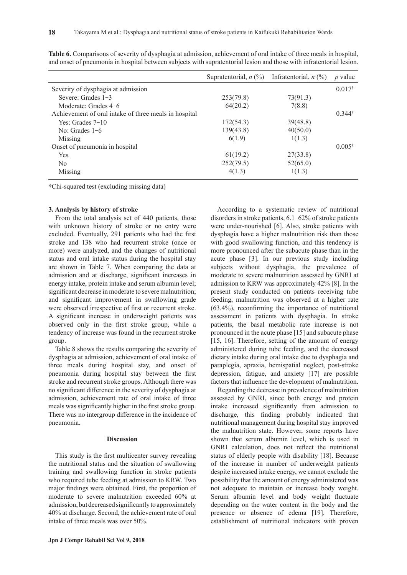|                                                       | Supratentorial, $n$ (%) | Infratentorial, $n$ $(\%)$ | <i>p</i> value       |
|-------------------------------------------------------|-------------------------|----------------------------|----------------------|
| Severity of dysphagia at admission                    |                         |                            | $0.017$ <sup>†</sup> |
| Severe: Grades $1-3$                                  | 253(79.8)               | 73(91.3)                   |                      |
| Moderate: Grades 4–6                                  | 64(20.2)                | 7(8.8)                     |                      |
| Achievement of oral intake of three meals in hospital |                         |                            | $0.344^{\dagger}$    |
| Yes: Grades $7-10$                                    | 172(54.3)               | 39(48.8)                   |                      |
| No: Grades $1-6$                                      | 139(43.8)               | 40(50.0)                   |                      |
| Missing                                               | 6(1.9)                  | 1(1.3)                     |                      |
| Onset of pneumonia in hospital                        |                         |                            | $0.005^{\dagger}$    |
| <b>Yes</b>                                            | 61(19.2)                | 27(33.8)                   |                      |
| No                                                    | 252(79.5)               | 52(65.0)                   |                      |
| Missing                                               | 4(1.3)                  | 1(1.3)                     |                      |

**Table 6.** Comparisons of severity of dysphagia at admission, achievement of oral intake of three meals in hospital, and onset of pneumonia in hospital between subjects with supratentorial lesion and those with infratentorial lesion.

†Chi-squared test (excluding missing data)

## **3. Analysis by history of stroke**

From the total analysis set of 440 patients, those with unknown history of stroke or no entry were excluded. Eventually, 291 patients who had the first stroke and 138 who had recurrent stroke (once or more) were analyzed, and the changes of nutritional status and oral intake status during the hospital stay are shown in Table 7. When comparing the data at admission and at discharge, significant increases in energy intake, protein intake and serum albumin level; significant decrease in moderate to severe malnutrition; and significant improvement in swallowing grade were observed irrespective of first or recurrent stroke. A significant increase in underweight patients was observed only in the first stroke group, while a tendency of increase was found in the recurrent stroke group.

Table 8 shows the results comparing the severity of dysphagia at admission, achievement of oral intake of three meals during hospital stay, and onset of pneumonia during hospital stay between the first stroke and recurrent stroke groups. Although there was no significant difference in the severity of dysphagia at admission, achievement rate of oral intake of three meals was significantly higher in the first stroke group. There was no intergroup difference in the incidence of pneumonia.

## **Discussion**

This study is the first multicenter survey revealing the nutritional status and the situation of swallowing training and swallowing function in stroke patients who required tube feeding at admission to KRW. Two major findings were obtained. First, the proportion of moderate to severe malnutrition exceeded 60% at admission, but decreased significantly to approximately 40% at discharge. Second, the achievement rate of oral intake of three meals was over 50%.

According to a systematic review of nutritional disorders in stroke patients, 6.1-62% of stroke patients were under-nourished [6]. Also, stroke patients with dysphagia have a higher malnutrition risk than those with good swallowing function, and this tendency is more pronounced after the subacute phase than in the acute phase [3]. In our previous study including subjects without dysphagia, the prevalence of moderate to severe malnutrition assessed by GNRI at admission to KRW was approximately 42% [8]. In the present study conducted on patients receiving tube feeding, malnutrition was observed at a higher rate (63.4%), reconfirming the importance of nutritional assessment in patients with dysphagia. In stroke patients, the basal metabolic rate increase is not pronounced in the acute phase [15] and subacute phase [15, 16]. Therefore, setting of the amount of energy administered during tube feeding, and the decreased dietary intake during oral intake due to dysphagia and paraplegia, apraxia, hemispatial neglect, post-stroke depression, fatigue, and anxiety [17] are possible factors that influence the development of malnutrition.

Regarding the decrease in prevalence of malnutrition assessed by GNRI, since both energy and protein intake increased significantly from admission to discharge, this finding probably indicated that nutritional management during hospital stay improved the malnutrition state. However, some reports have shown that serum albumin level, which is used in GNRI calculation, does not reflect the nutritional status of elderly people with disability [18]. Because of the increase in number of underweight patients despite increased intake energy, we cannot exclude the possibility that the amount of energy administered was not adequate to maintain or increase body weight. Serum albumin level and body weight fluctuate depending on the water content in the body and the presence or absence of edema [19]. Therefore, establishment of nutritional indicators with proven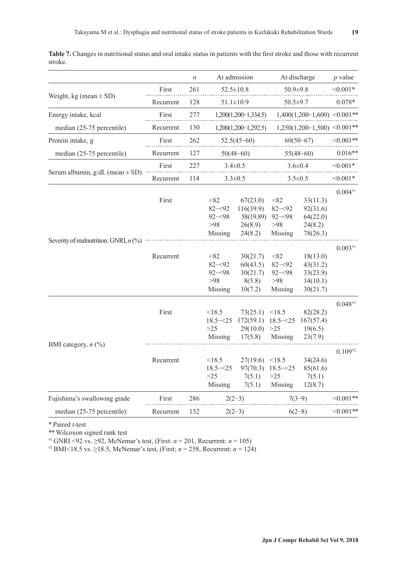|                                         |                    | $\boldsymbol{n}$ |                                                                         | At admission                                                                     |                                                                         | At discharge                                                                    | $p$ value                                      |
|-----------------------------------------|--------------------|------------------|-------------------------------------------------------------------------|----------------------------------------------------------------------------------|-------------------------------------------------------------------------|---------------------------------------------------------------------------------|------------------------------------------------|
|                                         | First              | 261              |                                                                         | $52.5 \pm 10.8$                                                                  | $50.9 + 9.8$                                                            |                                                                                 | $< 0.001*$                                     |
| Weight, kg (mean $\pm$ SD)              | Recurrent          | 128              |                                                                         | $51.1 \pm 10.9$                                                                  |                                                                         | $50.5 \pm 9.7$                                                                  |                                                |
| Energy intake, kcal                     | First              | 277              |                                                                         | $1,200(1,200-1,334.5)$                                                           |                                                                         | $1,400(1,200-1,600)$ <0.001**                                                   |                                                |
| median (25-75 percentile)               | Recurrent          | 130              |                                                                         | $1,200(1,200-1,292.5)$                                                           |                                                                         | $1,250(1,200-1,500)$ <0.001**                                                   |                                                |
| Protein intake, g                       | First              | 262              |                                                                         | $52.5(45-60)$                                                                    |                                                                         | $60(50-67)$                                                                     | $< 0.001**$                                    |
| median (25-75 percentile)               | Recurrent          | 127              |                                                                         | $50(48-60)$                                                                      |                                                                         | $55(48-60)$                                                                     | $0.016**$                                      |
|                                         | First              | 227              |                                                                         | $3.4 \pm 0.5$                                                                    |                                                                         | $3.6 \pm 0.4$                                                                   |                                                |
| Serum albumin, $g/dL$ (mean $\pm$ SD)   | Recurrent          | 114              |                                                                         | $3.3 \pm 0.5$                                                                    |                                                                         | $3.5 \pm 0.5$                                                                   | $< 0.001*$                                     |
| Severity of malnutrition: GNRI, $n$ (%) | First<br>Recurrent |                  | < 82<br>$82 - 92$<br>$92 - 98$<br>$>98$<br>Missing<br>< 82<br>$82 - 92$ | 67(23.0)<br>116(39.9)<br>58(19.89)<br>26(8.9)<br>24(8.2)<br>30(21.7)<br>60(43.5) | < 82<br>$82 - 92$<br>$92 - 98$<br>$>98$<br>Missing<br>< 82<br>$82 - 92$ | 33(11.3)<br>92(31.6)<br>64(22.0)<br>24(8.2)<br>78(26.3)<br>18(13.0)<br>43(31.2) | $0.004$ <sup>†1</sup><br>$0.003$ <sup>†1</sup> |
|                                         |                    |                  | $92 - 98$<br>>98<br>Missing                                             | 30(21.7)<br>8(5.8)<br>10(7.2)                                                    | $92 - 98$<br>$>98$<br>Missing                                           | 33(23.9)<br>14(10.1)<br>30(21.7)                                                | $0.048^{12}$                                   |
| BMI category, $n$ (%)                   | First              |                  | < 18.5<br>$18.5 - 25$<br>$>25$<br>Missing                               | 73(25.1)<br>172(59.1)<br>29(10.0)<br>17(5.8)                                     | < 18.5<br>$18.5 - 25$<br>$>25$<br>Missing                               | 82(28.2)<br>167(57.4)<br>19(6.5)<br>23(7.9)                                     |                                                |
|                                         | Recurrent          |                  | < 18.5<br>$18.5 - 25$<br>$>25$<br>Missing                               | 27(19.6)<br>97(70.3)<br>7(5.1)<br>7(5.1)                                         | < 18.5<br>$18.5 - 25$<br>$>25$<br>Missing                               | 34(24.6)<br>85(61.6)<br>7(5.1)<br>12(8.7)                                       | $0.109^{12}$                                   |
| Fujishima's swallowing grade            | First              | 286              |                                                                         | $2(2-3)$                                                                         | $7(3-9)$                                                                |                                                                                 | $< 0.001**$                                    |
| median (25-75 percentile)               | Recurrent          | 132              | $2(2-3)$                                                                |                                                                                  |                                                                         | $6(2-8)$                                                                        | $<0.001**$                                     |

**Table 7.** Changes in nutritional status and oral intake status in patients with the first stroke and those with recurrent stroke.

\* Paired *t*-test

\*\* Wilcoxon signed rank test

<sup>†1</sup> GNRI <92 vs. ≥92, McNemar's test, (First:  $n = 201$ , Recurrent:  $n = 105$ )

†2 BMI<18.5 vs. ≥18.5, McNemar's test, (First; *n* = 258, Recurrent: *n* = 124)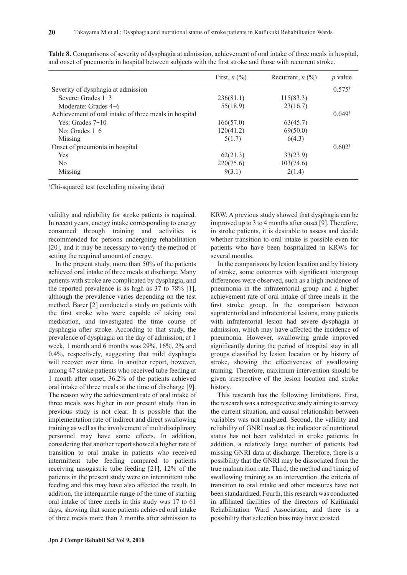|                                                       | First, $n$ $(\%)$ | Recurrent, $n$ $\left(\frac{9}{0}\right)$ | <i>p</i> value    |
|-------------------------------------------------------|-------------------|-------------------------------------------|-------------------|
| Severity of dysphagia at admission                    |                   |                                           | $0.575^*$         |
| Severe: Grades $1-3$                                  | 236(81.1)         | 115(83.3)                                 |                   |
| Moderate: Grades 4–6                                  | 55(18.9)          | 23(16.7)                                  |                   |
| Achievement of oral intake of three meals in hospital |                   |                                           | $0.049^{\dagger}$ |
| Yes: Grades $7-10$                                    | 166(57.0)         | 63(45.7)                                  |                   |
| No: Grades $1-6$                                      | 120(41.2)         | 69(50.0)                                  |                   |
| Missing                                               | 5(1.7)            | 6(4.3)                                    |                   |
| Onset of pneumonia in hospital                        |                   |                                           | $0.602^{\dagger}$ |
| <b>Yes</b>                                            | 62(21.3)          | 33(23.9)                                  |                   |
| No                                                    | 220(75.6)         | 103(74.6)                                 |                   |
| Missing                                               | 9(3.1)            | 2(1.4)                                    |                   |

**Table 8.** Comparisons of severity of dysphagia at admission, achievement of oral intake of three meals in hospital, and onset of pneumonia in hospital between subjects with the first stroke and those with recurrent stroke.

† Chi-squared test (excluding missing data)

validity and reliability for stroke patients is required. In recent years, energy intake corresponding to energy consumed through training and activities is recommended for persons undergoing rehabilitation [20], and it may be necessary to verify the method of setting the required amount of energy.

In the present study, more than 50% of the patients achieved oral intake of three meals at discharge. Many patients with stroke are complicated by dysphagia, and the reported prevalence is as high as 37 to 78% [1], although the prevalence varies depending on the test method. Barer [2] conducted a study on patients with the first stroke who were capable of taking oral medication, and investigated the time course of dysphagia after stroke. According to that study, the prevalence of dysphagia on the day of admission, at 1 week, 1 month and 6 months was 29%, 16%, 2% and 0.4%, respectively, suggesting that mild dysphagia will recover over time. In another report, however, among 47 stroke patients who received tube feeding at 1 month after onset, 36.2% of the patients achieved oral intake of three meals at the time of discharge [9]. The reason why the achievement rate of oral intake of three meals was higher in our present study than in previous study is not clear. It is possible that the implementation rate of indirect and direct swallowing training as well as the involvement of multidisciplinary personnel may have some effects. In addition, considering that another report showed a higher rate of transition to oral intake in patients who received intermittent tube feeding compared to patients receiving nasogastric tube feeding [21], 12% of the patients in the present study were on intermittent tube feeding and this may have also affected the result. In addition, the interquartile range of the time of starting oral intake of three meals in this study was 17 to 61 days, showing that some patients achieved oral intake of three meals more than 2 months after admission to KRW. A previous study showed that dysphagia can be improved up to 3 to 4 months after onset [9]. Therefore, in stroke patients, it is desirable to assess and decide whether transition to oral intake is possible even for patients who have been hospitalized in KRWs for several months.

In the comparisons by lesion location and by history of stroke, some outcomes with significant intergroup differences were observed, such as a high incidence of pneumonia in the infratentorial group and a higher achievement rate of oral intake of three meals in the first stroke group. In the comparison between supratentorial and infratentorial lesions, many patients with infratentorial lesion had severe dysphagia at admission, which may have affected the incidence of pneumonia. However, swallowing grade improved significantly during the period of hospital stay in all groups classified by lesion location or by history of stroke, showing the effectiveness of swallowing training. Therefore, maximum intervention should be given irrespective of the lesion location and stroke history.

This research has the following limitations. First, the research was a retrospective study aiming to survey the current situation, and causal relationship between variables was not analyzed. Second, the validity and reliability of GNRI used as the indicator of nutritional status has not been validated in stroke patients. In addition, a relatively large number of patients had missing GNRI data at discharge. Therefore, there is a possibility that the GNRI may be dissociated from the true malnutrition rate. Third, the method and timing of swallowing training as an intervention, the criteria of transition to oral intake and other measures have not been standardized. Fourth, this research was conducted in affiliated facilities of the directors of Kaifukuki Rehabilitation Ward Association, and there is a possibility that selection bias may have existed.